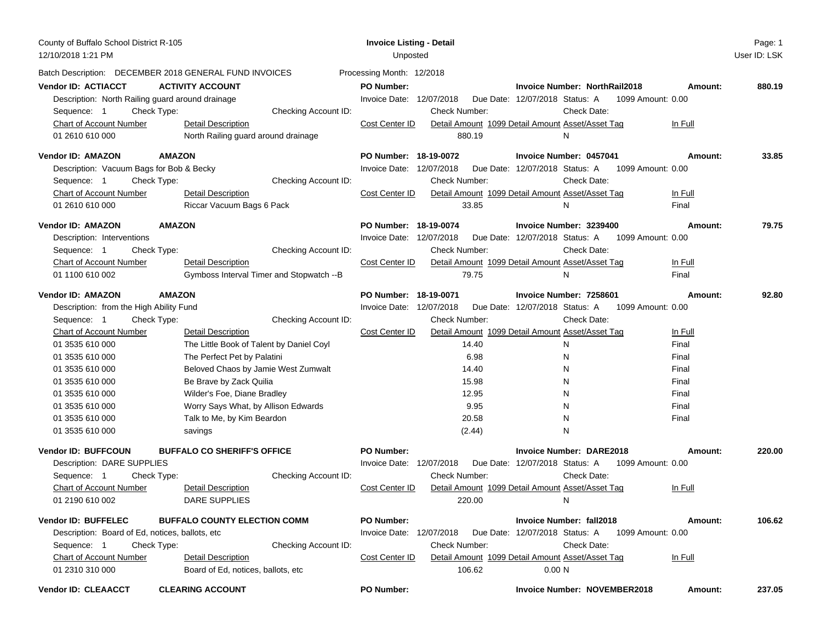| County of Buffalo School District R-105<br>12/10/2018 1:21 PM |                                                        | <b>Invoice Listing - Detail</b><br>Unposted |                      |                                                     |         | Page: 1<br>User ID: LSK |
|---------------------------------------------------------------|--------------------------------------------------------|---------------------------------------------|----------------------|-----------------------------------------------------|---------|-------------------------|
|                                                               | Batch Description: DECEMBER 2018 GENERAL FUND INVOICES | Processing Month: 12/2018                   |                      |                                                     |         |                         |
| <b>Vendor ID: ACTIACCT</b>                                    | <b>ACTIVITY ACCOUNT</b>                                | <b>PO Number:</b>                           |                      | <b>Invoice Number: NorthRail2018</b>                | Amount: | 880.19                  |
| Description: North Railing guard around drainage              |                                                        | Invoice Date: 12/07/2018                    |                      | Due Date: 12/07/2018 Status: A<br>1099 Amount: 0.00 |         |                         |
| Check Type:<br>Sequence: 1                                    | Checking Account ID:                                   |                                             | <b>Check Number:</b> | Check Date:                                         |         |                         |
| <b>Chart of Account Number</b>                                | <b>Detail Description</b>                              | Cost Center ID                              |                      | Detail Amount 1099 Detail Amount Asset/Asset Tag    | In Full |                         |
| 01 2610 610 000                                               | North Railing guard around drainage                    |                                             | 880.19               | N                                                   |         |                         |
| Vendor ID: AMAZON                                             | <b>AMAZON</b>                                          | PO Number: 18-19-0072                       |                      | Invoice Number: 0457041                             | Amount: | 33.85                   |
| Description: Vacuum Bags for Bob & Becky                      |                                                        | Invoice Date: 12/07/2018                    |                      | Due Date: 12/07/2018 Status: A<br>1099 Amount: 0.00 |         |                         |
| Sequence: 1<br>Check Type:                                    | Checking Account ID:                                   |                                             | Check Number:        | Check Date:                                         |         |                         |
| Chart of Account Number                                       | <b>Detail Description</b>                              | Cost Center ID                              |                      | Detail Amount 1099 Detail Amount Asset/Asset Tag    | In Full |                         |
| 01 2610 610 000                                               | Riccar Vacuum Bags 6 Pack                              |                                             | 33.85                | N                                                   | Final   |                         |
| Vendor ID: AMAZON                                             | <b>AMAZON</b>                                          | PO Number: 18-19-0074                       |                      | Invoice Number: 3239400                             | Amount: | 79.75                   |
| Description: Interventions                                    |                                                        | Invoice Date: 12/07/2018                    |                      | Due Date: 12/07/2018 Status: A<br>1099 Amount: 0.00 |         |                         |
| Sequence: 1<br>Check Type:                                    | Checking Account ID:                                   |                                             | Check Number:        | <b>Check Date:</b>                                  |         |                         |
| Chart of Account Number                                       | <b>Detail Description</b>                              | Cost Center ID                              |                      | Detail Amount 1099 Detail Amount Asset/Asset Tag    | In Full |                         |
| 01 1100 610 002                                               | Gymboss Interval Timer and Stopwatch -- B              |                                             | 79.75                | N                                                   | Final   |                         |
| Vendor ID: AMAZON                                             | <b>AMAZON</b>                                          | PO Number: 18-19-0071                       |                      | Invoice Number: 7258601                             | Amount: | 92.80                   |
| Description: from the High Ability Fund                       |                                                        | Invoice Date: 12/07/2018                    |                      | Due Date: 12/07/2018 Status: A 1099 Amount: 0.00    |         |                         |
| Sequence: 1<br>Check Type:                                    | Checking Account ID:                                   |                                             | Check Number:        | Check Date:                                         |         |                         |
| <b>Chart of Account Number</b>                                | <b>Detail Description</b>                              | Cost Center ID                              |                      | Detail Amount 1099 Detail Amount Asset/Asset Tag    | In Full |                         |
| 01 3535 610 000                                               | The Little Book of Talent by Daniel Coyl               |                                             | 14.40                | N                                                   | Final   |                         |
| 01 3535 610 000                                               | The Perfect Pet by Palatini                            |                                             | 6.98                 | N                                                   | Final   |                         |
| 01 3535 610 000                                               | Beloved Chaos by Jamie West Zumwalt                    |                                             | 14.40                | N                                                   | Final   |                         |
| 01 3535 610 000                                               | Be Brave by Zack Quilia                                |                                             | 15.98                | N                                                   | Final   |                         |
| 01 3535 610 000                                               | Wilder's Foe, Diane Bradley                            |                                             | 12.95                | N                                                   | Final   |                         |
| 01 3535 610 000                                               | Worry Says What, by Allison Edwards                    |                                             | 9.95                 | N                                                   | Final   |                         |
| 01 3535 610 000                                               | Talk to Me, by Kim Beardon                             |                                             | 20.58                | N                                                   | Final   |                         |
| 01 3535 610 000                                               | savings                                                |                                             | (2.44)               | N                                                   |         |                         |
| <b>Vendor ID: BUFFCOUN</b>                                    | <b>BUFFALO CO SHERIFF'S OFFICE</b>                     | <b>PO Number:</b>                           |                      | <b>Invoice Number: DARE2018</b>                     | Amount: | 220.00                  |
| Description: DARE SUPPLIES                                    |                                                        | Invoice Date: 12/07/2018                    |                      | Due Date: 12/07/2018 Status: A<br>1099 Amount: 0.00 |         |                         |
| Sequence: 1<br>Check Type:                                    | Checking Account ID:                                   |                                             | Check Number:        | Check Date:                                         |         |                         |
| <b>Chart of Account Number</b>                                | Detail Description                                     | Cost Center ID                              |                      | Detail Amount 1099 Detail Amount Asset/Asset Tag    | In Full |                         |
| 01 2190 610 002                                               | DARE SUPPLIES                                          |                                             | 220.00               | N                                                   |         |                         |
| Vendor ID: BUFFELEC                                           | <b>BUFFALO COUNTY ELECTION COMM</b>                    | <b>PO Number:</b>                           |                      | <b>Invoice Number: fall2018</b>                     | Amount: | 106.62                  |
| Description: Board of Ed, notices, ballots, etc.              |                                                        | Invoice Date: 12/07/2018                    |                      | Due Date: 12/07/2018 Status: A<br>1099 Amount: 0.00 |         |                         |
| Sequence: 1<br>Check Type:                                    | Checking Account ID:                                   |                                             | Check Number:        | Check Date:                                         |         |                         |
| <b>Chart of Account Number</b>                                | <b>Detail Description</b>                              | Cost Center ID                              |                      | Detail Amount 1099 Detail Amount Asset/Asset Tag    | In Full |                         |
| 01 2310 310 000                                               | Board of Ed, notices, ballots, etc.                    |                                             | 106.62               | 0.00 <sub>N</sub>                                   |         |                         |
| <b>Vendor ID: CLEAACCT</b>                                    | <b>CLEARING ACCOUNT</b>                                | <b>PO Number:</b>                           |                      | <b>Invoice Number: NOVEMBER2018</b>                 | Amount: | 237.05                  |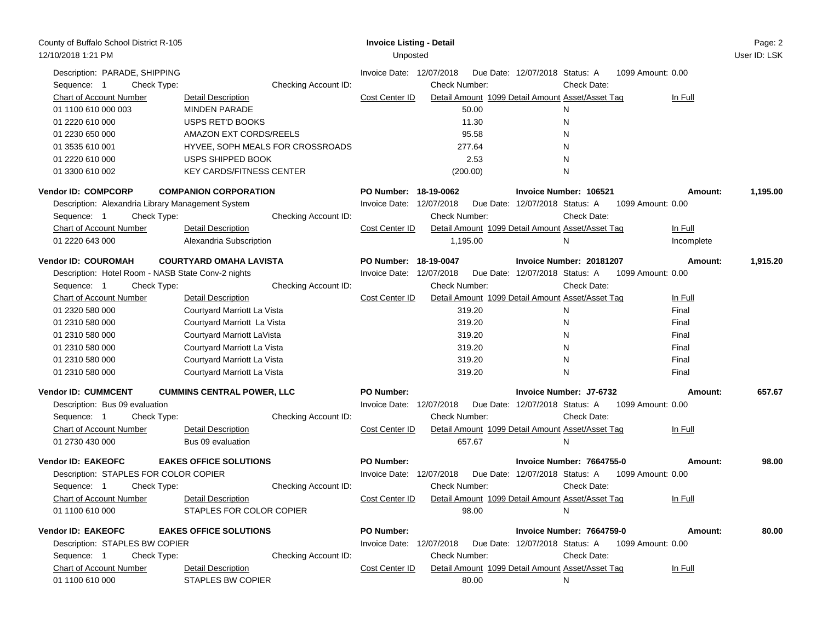| County of Buffalo School District R-105<br>12/10/2018 1:21 PM |                                   | <b>Invoice Listing - Detail</b><br>Unposted |                      |                                                  |                   | Page: 2<br>User ID: LSK |
|---------------------------------------------------------------|-----------------------------------|---------------------------------------------|----------------------|--------------------------------------------------|-------------------|-------------------------|
| Description: PARADE, SHIPPING<br>Sequence: 1<br>Check Type:   | Checking Account ID:              | Invoice Date: 12/07/2018                    | Check Number:        | Due Date: 12/07/2018 Status: A<br>Check Date:    | 1099 Amount: 0.00 |                         |
| Chart of Account Number                                       | Detail Description                | Cost Center ID                              |                      | Detail Amount 1099 Detail Amount Asset/Asset Tag | In Full           |                         |
| 01 1100 610 000 003                                           | <b>MINDEN PARADE</b>              |                                             | 50.00                | N                                                |                   |                         |
| 01 2220 610 000                                               | USPS RET'D BOOKS                  |                                             | 11.30                | N                                                |                   |                         |
| 01 2230 650 000                                               | AMAZON EXT CORDS/REELS            |                                             | 95.58                | N                                                |                   |                         |
| 01 3535 610 001                                               | HYVEE, SOPH MEALS FOR CROSSROADS  |                                             | 277.64               | N                                                |                   |                         |
| 01 2220 610 000                                               | USPS SHIPPED BOOK                 |                                             | 2.53                 | N                                                |                   |                         |
| 01 3300 610 002                                               | <b>KEY CARDS/FITNESS CENTER</b>   |                                             | (200.00)             | N                                                |                   |                         |
| <b>Vendor ID: COMPCORP</b>                                    | <b>COMPANION CORPORATION</b>      | PO Number: 18-19-0062                       |                      | Invoice Number: 106521                           | Amount:           | 1,195.00                |
| Description: Alexandria Library Management System             |                                   | Invoice Date: 12/07/2018                    |                      | Due Date: 12/07/2018 Status: A                   | 1099 Amount: 0.00 |                         |
| Check Type:<br>Sequence: 1                                    | Checking Account ID:              |                                             | Check Number:        | Check Date:                                      |                   |                         |
| Chart of Account Number                                       | <b>Detail Description</b>         | Cost Center ID                              |                      | Detail Amount 1099 Detail Amount Asset/Asset Tag | In Full           |                         |
| 01 2220 643 000                                               | Alexandria Subscription           |                                             | 1,195.00             | N                                                | Incomplete        |                         |
|                                                               |                                   |                                             |                      |                                                  |                   |                         |
| <b>Vendor ID: COUROMAH</b>                                    | <b>COURTYARD OMAHA LAVISTA</b>    | PO Number: 18-19-0047                       |                      | Invoice Number: 20181207                         | Amount:           | 1,915.20                |
| Description: Hotel Room - NASB State Conv-2 nights            |                                   | Invoice Date: 12/07/2018                    |                      | Due Date: 12/07/2018 Status: A                   | 1099 Amount: 0.00 |                         |
| Check Type:<br>Sequence: 1                                    | Checking Account ID:              |                                             | Check Number:        | Check Date:                                      |                   |                         |
| <b>Chart of Account Number</b>                                | Detail Description                | Cost Center ID                              |                      | Detail Amount 1099 Detail Amount Asset/Asset Tag | In Full           |                         |
| 01 2320 580 000                                               | Courtyard Marriott La Vista       |                                             | 319.20               | N                                                | Final             |                         |
| 01 2310 580 000                                               | Courtyard Marriott La Vista       |                                             | 319.20               | N                                                | Final             |                         |
| 01 2310 580 000                                               | Courtyard Marriott LaVista        |                                             | 319.20               | N                                                | Final             |                         |
| 01 2310 580 000                                               | Courtyard Marriott La Vista       |                                             | 319.20               | N                                                | Final             |                         |
| 01 2310 580 000                                               | Courtyard Marriott La Vista       |                                             | 319.20               | N                                                | Final             |                         |
| 01 2310 580 000                                               | Courtyard Marriott La Vista       |                                             | 319.20               | N                                                | Final             |                         |
| <b>Vendor ID: CUMMCENT</b>                                    | <b>CUMMINS CENTRAL POWER, LLC</b> | <b>PO Number:</b>                           |                      | Invoice Number: J7-6732                          | Amount:           | 657.67                  |
| Description: Bus 09 evaluation                                |                                   | Invoice Date: 12/07/2018                    |                      | Due Date: 12/07/2018 Status: A                   | 1099 Amount: 0.00 |                         |
| Sequence: 1<br>Check Type:                                    | Checking Account ID:              |                                             | Check Number:        | Check Date:                                      |                   |                         |
| <b>Chart of Account Number</b>                                | <b>Detail Description</b>         | Cost Center ID                              |                      | Detail Amount 1099 Detail Amount Asset/Asset Tag | In Full           |                         |
| 01 2730 430 000                                               | Bus 09 evaluation                 |                                             | 657.67               | N                                                |                   |                         |
| <b>Vendor ID: EAKEOFC</b>                                     | <b>EAKES OFFICE SOLUTIONS</b>     | <b>PO Number:</b>                           |                      | Invoice Number: 7664755-0                        | Amount:           | 98.00                   |
| Description: STAPLES FOR COLOR COPIER                         |                                   | Invoice Date: 12/07/2018                    |                      | Due Date: 12/07/2018 Status: A                   | 1099 Amount: 0.00 |                         |
| Sequence: 1<br>Check Type:                                    | Checking Account ID:              |                                             | Check Number:        | Check Date:                                      |                   |                         |
| <b>Chart of Account Number</b>                                | <b>Detail Description</b>         | Cost Center ID                              |                      | Detail Amount 1099 Detail Amount Asset/Asset Tag | In Full           |                         |
| 01 1100 610 000                                               | STAPLES FOR COLOR COPIER          |                                             | 98.00                | N                                                |                   |                         |
| <b>Vendor ID: EAKEOFC</b>                                     | <b>EAKES OFFICE SOLUTIONS</b>     | <b>PO Number:</b>                           |                      | Invoice Number: 7664759-0                        | Amount:           | 80.00                   |
| Description: STAPLES BW COPIER                                |                                   | Invoice Date: 12/07/2018                    |                      | Due Date: 12/07/2018 Status: A 1099 Amount: 0.00 |                   |                         |
| Sequence: 1<br>Check Type:                                    | Checking Account ID:              |                                             | <b>Check Number:</b> | Check Date:                                      |                   |                         |
| <b>Chart of Account Number</b>                                | <b>Detail Description</b>         | Cost Center ID                              |                      | Detail Amount 1099 Detail Amount Asset/Asset Tag | In Full           |                         |
| 01 1100 610 000                                               | <b>STAPLES BW COPIER</b>          |                                             | 80.00                | N                                                |                   |                         |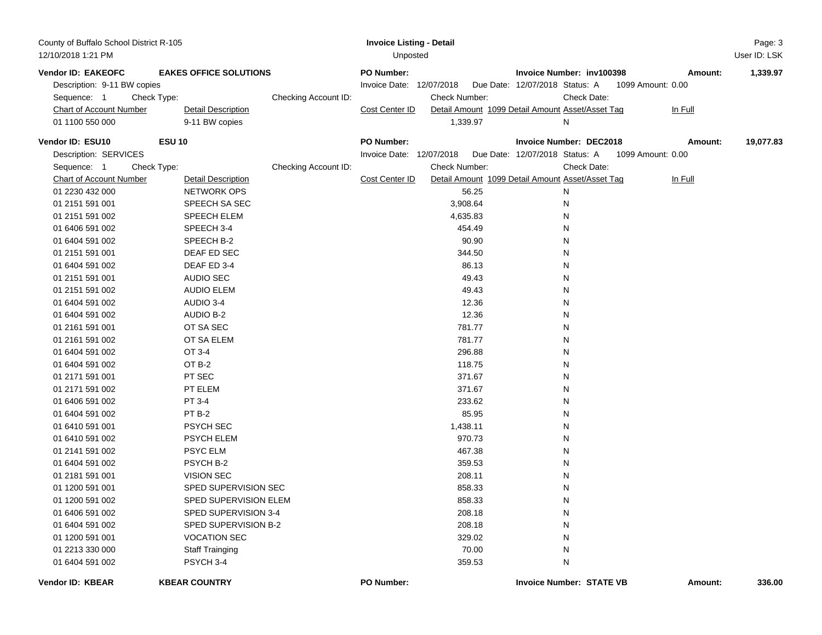| County of Buffalo School District R-105 |                               |                      | <b>Invoice Listing - Detail</b> |               |                                                  |             |                   | Page: 3      |
|-----------------------------------------|-------------------------------|----------------------|---------------------------------|---------------|--------------------------------------------------|-------------|-------------------|--------------|
| 12/10/2018 1:21 PM                      |                               |                      | Unposted                        |               |                                                  |             |                   | User ID: LSK |
| Vendor ID: EAKEOFC                      | <b>EAKES OFFICE SOLUTIONS</b> |                      | <b>PO Number:</b>               |               | Invoice Number: inv100398                        |             | Amount:           | 1,339.97     |
| Description: 9-11 BW copies             |                               |                      | Invoice Date: 12/07/2018        |               | Due Date: 12/07/2018 Status: A                   |             | 1099 Amount: 0.00 |              |
| Sequence: 1                             | Check Type:                   | Checking Account ID: |                                 | Check Number: |                                                  | Check Date: |                   |              |
| <b>Chart of Account Number</b>          | <b>Detail Description</b>     |                      | Cost Center ID                  |               | Detail Amount 1099 Detail Amount Asset/Asset Tag |             | In Full           |              |
| 01 1100 550 000                         | 9-11 BW copies                |                      |                                 | 1,339.97      | Ν                                                |             |                   |              |
| Vendor ID: ESU10                        | <b>ESU 10</b>                 |                      | <b>PO Number:</b>               |               | <b>Invoice Number: DEC2018</b>                   |             | Amount:           | 19,077.83    |
| Description: SERVICES                   |                               |                      | Invoice Date: 12/07/2018        |               | Due Date: 12/07/2018 Status: A                   |             | 1099 Amount: 0.00 |              |
| Sequence: 1                             | Check Type:                   | Checking Account ID: |                                 | Check Number: |                                                  | Check Date: |                   |              |
| <b>Chart of Account Number</b>          | <b>Detail Description</b>     |                      | Cost Center ID                  |               | Detail Amount 1099 Detail Amount Asset/Asset Tag |             | In Full           |              |
| 01 2230 432 000                         | <b>NETWORK OPS</b>            |                      |                                 | 56.25         | N                                                |             |                   |              |
| 01 2151 591 001                         | SPEECH SA SEC                 |                      |                                 | 3,908.64      | N                                                |             |                   |              |
| 01 2151 591 002                         | SPEECH ELEM                   |                      |                                 | 4,635.83      | Ν                                                |             |                   |              |
| 01 6406 591 002                         | SPEECH 3-4                    |                      |                                 | 454.49        | Ν                                                |             |                   |              |
| 01 6404 591 002                         | SPEECH B-2                    |                      |                                 | 90.90         | Ν                                                |             |                   |              |
| 01 2151 591 001                         | DEAF ED SEC                   |                      |                                 | 344.50        | Ν                                                |             |                   |              |
| 01 6404 591 002                         | DEAF ED 3-4                   |                      |                                 | 86.13         | Ν                                                |             |                   |              |
| 01 2151 591 001                         | <b>AUDIO SEC</b>              |                      |                                 | 49.43         | Ν                                                |             |                   |              |
| 01 2151 591 002                         | <b>AUDIO ELEM</b>             |                      |                                 | 49.43         | N                                                |             |                   |              |
| 01 6404 591 002                         | AUDIO 3-4                     |                      |                                 | 12.36         | Ν                                                |             |                   |              |
| 01 6404 591 002                         | <b>AUDIO B-2</b>              |                      |                                 | 12.36         | Ν                                                |             |                   |              |
| 01 2161 591 001                         | OT SA SEC                     |                      |                                 | 781.77        | Ν                                                |             |                   |              |
| 01 2161 591 002                         | OT SA ELEM                    |                      |                                 | 781.77        | N                                                |             |                   |              |
| 01 6404 591 002                         | OT 3-4                        |                      |                                 | 296.88        | Ν                                                |             |                   |              |
| 01 6404 591 002                         | OT B-2                        |                      |                                 | 118.75        | Ν                                                |             |                   |              |
| 01 2171 591 001                         | PT SEC                        |                      |                                 | 371.67        | Ν                                                |             |                   |              |
| 01 2171 591 002                         | PT ELEM                       |                      |                                 | 371.67        | Ν                                                |             |                   |              |
| 01 6406 591 002                         | PT 3-4                        |                      |                                 | 233.62        | N                                                |             |                   |              |
| 01 6404 591 002                         | PT <sub>B-2</sub>             |                      |                                 | 85.95         | N                                                |             |                   |              |
| 01 6410 591 001                         | <b>PSYCH SEC</b>              |                      |                                 | 1,438.11      | N                                                |             |                   |              |
| 01 6410 591 002                         | <b>PSYCH ELEM</b>             |                      |                                 | 970.73        | N                                                |             |                   |              |
| 01 2141 591 002                         | PSYC ELM                      |                      |                                 | 467.38        | Ν                                                |             |                   |              |
| 01 6404 591 002                         | PSYCH B-2                     |                      |                                 | 359.53        | Ν                                                |             |                   |              |
| 01 2181 591 001                         | <b>VISION SEC</b>             |                      |                                 | 208.11        | Ν                                                |             |                   |              |
| 01 1200 591 001                         | SPED SUPERVISION SEC          |                      |                                 | 858.33        | N                                                |             |                   |              |
| 01 1200 591 002                         | SPED SUPERVISION ELEM         |                      |                                 | 858.33        | N                                                |             |                   |              |
| 01 6406 591 002                         | SPED SUPERVISION 3-4          |                      |                                 | 208.18        | N                                                |             |                   |              |
| 01 6404 591 002                         | SPED SUPERVISION B-2          |                      |                                 | 208.18        | N                                                |             |                   |              |
| 01 1200 591 001                         | <b>VOCATION SEC</b>           |                      |                                 | 329.02        | N                                                |             |                   |              |
| 01 2213 330 000                         | <b>Staff Trainging</b>        |                      |                                 | 70.00         | N                                                |             |                   |              |
| 01 6404 591 002                         | PSYCH 3-4                     |                      |                                 | 359.53        | N                                                |             |                   |              |
| Vendor ID: KBEAR                        | <b>KBEAR COUNTRY</b>          |                      | PO Number:                      |               | <b>Invoice Number: STATE VB</b>                  |             | Amount:           | 336.00       |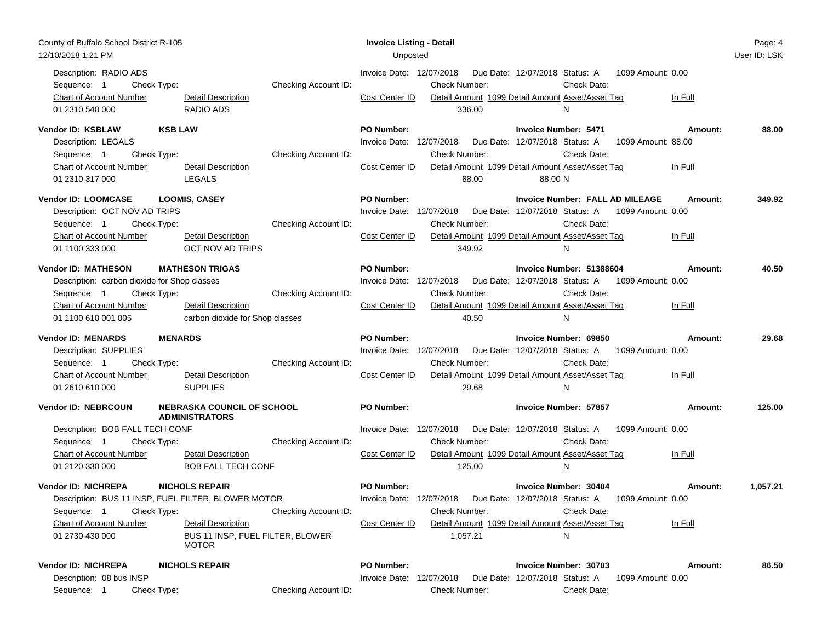| County of Buffalo School District R-105<br>12/10/2018 1:21 PM                                                                                                        |                                                                                                                 | <b>Invoice Listing - Detail</b><br>Unposted                                                                                                                                                                                                             | Page: 4<br>User ID: LSK                                                              |
|----------------------------------------------------------------------------------------------------------------------------------------------------------------------|-----------------------------------------------------------------------------------------------------------------|---------------------------------------------------------------------------------------------------------------------------------------------------------------------------------------------------------------------------------------------------------|--------------------------------------------------------------------------------------|
| Description: RADIO ADS<br>Check Type:<br>Sequence: 1<br>Chart of Account Number<br>01 2310 540 000                                                                   | Checking Account ID:<br>Detail Description<br><b>RADIO ADS</b>                                                  | Invoice Date: 12/07/2018<br>Due Date: 12/07/2018 Status: A<br><b>Check Number:</b><br>Check Date:<br>Cost Center ID<br>Detail Amount 1099 Detail Amount Asset/Asset Tag<br>336.00<br>N                                                                  | 1099 Amount: 0.00<br>In Full                                                         |
| Vendor ID: KSBLAW<br><b>KSB LAW</b><br>Description: LEGALS<br>Check Type:<br>Sequence: 1<br><b>Chart of Account Number</b><br>01 2310 317 000                        | Checking Account ID:<br><b>Detail Description</b><br><b>LEGALS</b>                                              | <b>PO Number:</b><br><b>Invoice Number: 5471</b><br>Invoice Date: 12/07/2018<br>Due Date: 12/07/2018 Status: A<br><b>Check Number:</b><br>Check Date:<br>Detail Amount 1099 Detail Amount Asset/Asset Tag<br>Cost Center ID<br>88.00<br>88.00 N         | Amount:<br>88.00<br>1099 Amount: 88.00<br>In Full                                    |
| Vendor ID: LOOMCASE<br>Description: OCT NOV AD TRIPS<br>Check Type:<br>Sequence: 1<br>Chart of Account Number<br>01 1100 333 000                                     | <b>LOOMIS, CASEY</b><br>Checking Account ID:<br>Detail Description<br>OCT NOV AD TRIPS                          | <b>PO Number:</b><br>Invoice Date: 12/07/2018  Due Date: 12/07/2018  Status: A<br>Check Number:<br>Check Date:<br>Cost Center ID<br>Detail Amount 1099 Detail Amount Asset/Asset Tag<br>349.92<br>N                                                     | Invoice Number: FALL AD MILEAGE<br>349.92<br>Amount:<br>1099 Amount: 0.00<br>In Full |
| <b>Vendor ID: MATHESON</b><br>Description: carbon dioxide for Shop classes<br>Sequence: 1<br>Check Type:<br><b>Chart of Account Number</b><br>01 1100 610 001 005    | <b>MATHESON TRIGAS</b><br>Checking Account ID:<br><b>Detail Description</b><br>carbon dioxide for Shop classes  | PO Number:<br>Invoice Number: 51388604<br>Due Date: 12/07/2018 Status: A 1099 Amount: 0.00<br>Invoice Date: 12/07/2018<br><b>Check Number:</b><br>Check Date:<br>Cost Center ID<br>Detail Amount 1099 Detail Amount Asset/Asset Tag<br>40.50<br>N       | 40.50<br>Amount:<br>In Full                                                          |
| <b>Vendor ID: MENARDS</b><br><b>MENARDS</b><br>Description: SUPPLIES<br>Sequence: 1<br>Check Type:<br>Chart of Account Number<br>01 2610 610 000                     | Checking Account ID:<br><b>Detail Description</b><br><b>SUPPLIES</b>                                            | <b>PO Number:</b><br>Invoice Number: 69850<br>Invoice Date: 12/07/2018<br>Due Date: 12/07/2018 Status: A<br><b>Check Number:</b><br>Check Date:<br>Detail Amount 1099 Detail Amount Asset/Asset Tag<br>Cost Center ID<br>29.68<br>N                     | 29.68<br>Amount:<br>1099 Amount: 0.00<br>In Full                                     |
| <b>Vendor ID: NEBRCOUN</b><br>Description: BOB FALL TECH CONF<br>Check Type:<br>Sequence: 1<br>Chart of Account Number                                               | <b>NEBRASKA COUNCIL OF SCHOOL</b><br><b>ADMINISTRATORS</b><br>Checking Account ID:<br><b>Detail Description</b> | <b>PO Number:</b><br><b>Invoice Number: 57857</b><br>Invoice Date: 12/07/2018<br>Due Date: 12/07/2018 Status: A<br>Check Date:<br><b>Check Number:</b><br>Cost Center ID<br>Detail Amount 1099 Detail Amount Asset/Asset Tag                            | 125.00<br>Amount:<br>1099 Amount: 0.00<br>In Full                                    |
| 01 2120 330 000<br><b>Vendor ID: NICHREPA</b><br>Description: BUS 11 INSP, FUEL FILTER, BLOWER MOTOR<br>Sequence: 1<br>Check Type:<br><b>Chart of Account Number</b> | <b>BOB FALL TECH CONF</b><br><b>NICHOLS REPAIR</b><br>Checking Account ID:<br><b>Detail Description</b>         | 125.00<br>N<br><b>PO Number:</b><br>Invoice Number: 30404<br>Invoice Date: 12/07/2018  Due Date: 12/07/2018  Status: A  1099  Amount: 0.00<br><b>Check Number:</b><br>Check Date:<br>Cost Center ID<br>Detail Amount 1099 Detail Amount Asset/Asset Tag | 1,057.21<br>Amount:<br>In Full                                                       |
| 01 2730 430 000<br><b>Vendor ID: NICHREPA</b><br>Description: 08 bus INSP<br>Check Type:<br>Sequence: 1                                                              | BUS 11 INSP, FUEL FILTER, BLOWER<br><b>MOTOR</b><br><b>NICHOLS REPAIR</b><br>Checking Account ID:               | 1,057.21<br>N<br><b>PO Number:</b><br><b>Invoice Number: 30703</b><br>Invoice Date: 12/07/2018<br>Due Date: 12/07/2018 Status: A<br>Check Number:<br>Check Date:                                                                                        | 86.50<br>Amount:<br>1099 Amount: 0.00                                                |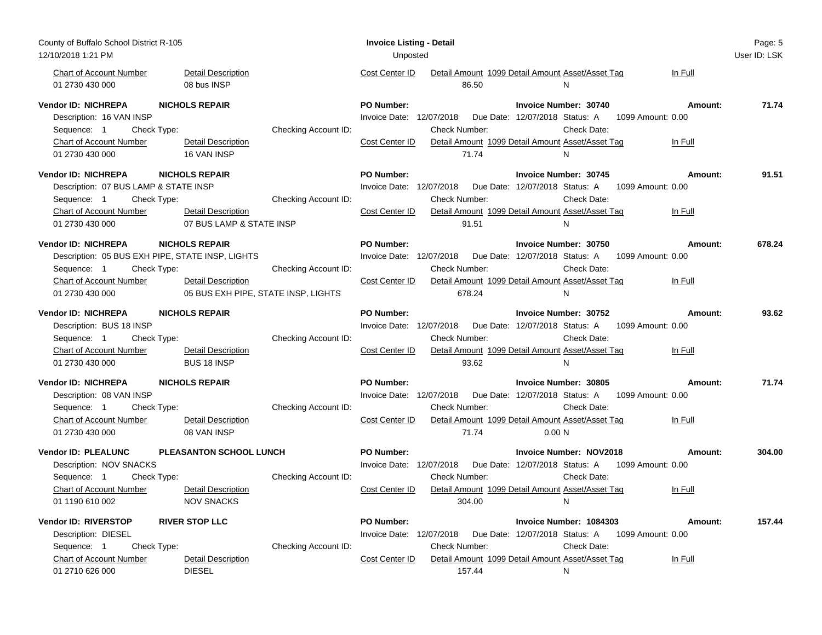| County of Buffalo School District R-105          |                                     |                      | <b>Invoice Listing - Detail</b> |                      |                                                       |                   | Page: 5      |
|--------------------------------------------------|-------------------------------------|----------------------|---------------------------------|----------------------|-------------------------------------------------------|-------------------|--------------|
| 12/10/2018 1:21 PM                               |                                     |                      | Unposted                        |                      |                                                       |                   | User ID: LSK |
| <b>Chart of Account Number</b>                   | <b>Detail Description</b>           |                      | Cost Center ID                  |                      | Detail Amount 1099 Detail Amount Asset/Asset Tag      | In Full           |              |
| 01 2730 430 000                                  | 08 bus INSP                         |                      |                                 | 86.50                | N                                                     |                   |              |
| Vendor ID: NICHREPA                              | <b>NICHOLS REPAIR</b>               |                      | <b>PO Number:</b>               |                      | <b>Invoice Number: 30740</b>                          | Amount:           | 71.74        |
| Description: 16 VAN INSP                         |                                     |                      | Invoice Date: 12/07/2018        |                      | Due Date: 12/07/2018 Status: A                        | 1099 Amount: 0.00 |              |
| Sequence: 1<br>Check Type:                       |                                     | Checking Account ID: |                                 | Check Number:        | Check Date:                                           |                   |              |
| <b>Chart of Account Number</b>                   | <b>Detail Description</b>           |                      | Cost Center ID                  |                      | Detail Amount 1099 Detail Amount Asset/Asset Tag      | In Full           |              |
| 01 2730 430 000                                  | 16 VAN INSP                         |                      |                                 | 71.74                | N                                                     |                   |              |
| <b>Vendor ID: NICHREPA</b>                       | <b>NICHOLS REPAIR</b>               |                      | PO Number:                      |                      | <b>Invoice Number: 30745</b>                          | Amount:           | 91.51        |
| Description: 07 BUS LAMP & STATE INSP            |                                     |                      | Invoice Date: 12/07/2018        |                      | Due Date: 12/07/2018 Status: A                        | 1099 Amount: 0.00 |              |
| Check Type:<br>Sequence: 1                       |                                     | Checking Account ID: |                                 | <b>Check Number:</b> | Check Date:                                           |                   |              |
| <b>Chart of Account Number</b>                   | <b>Detail Description</b>           |                      | Cost Center ID                  |                      | Detail Amount 1099 Detail Amount Asset/Asset Tag      | In Full           |              |
| 01 2730 430 000                                  | 07 BUS LAMP & STATE INSP            |                      |                                 | 91.51                | N                                                     |                   |              |
| <b>Vendor ID: NICHREPA</b>                       | <b>NICHOLS REPAIR</b>               |                      | <b>PO Number:</b>               |                      | <b>Invoice Number: 30750</b>                          | Amount:           | 678.24       |
| Description: 05 BUS EXH PIPE, STATE INSP, LIGHTS |                                     |                      | Invoice Date: 12/07/2018        |                      | Due Date: 12/07/2018 Status: A                        | 1099 Amount: 0.00 |              |
| Sequence: 1<br>Check Type:                       |                                     | Checking Account ID: |                                 | Check Number:        | Check Date:                                           |                   |              |
| Chart of Account Number                          | <b>Detail Description</b>           |                      | Cost Center ID                  |                      |                                                       | In Full           |              |
|                                                  |                                     |                      |                                 |                      | Detail Amount 1099 Detail Amount Asset/Asset Tag<br>N |                   |              |
| 01 2730 430 000                                  | 05 BUS EXH PIPE, STATE INSP, LIGHTS |                      |                                 | 678.24               |                                                       |                   |              |
| <b>Vendor ID: NICHREPA</b>                       | <b>NICHOLS REPAIR</b>               |                      | <b>PO Number:</b>               |                      | Invoice Number: 30752                                 | Amount:           | 93.62        |
| Description: BUS 18 INSP                         |                                     |                      | Invoice Date: 12/07/2018        |                      | Due Date: 12/07/2018 Status: A                        | 1099 Amount: 0.00 |              |
| Check Type:<br>Sequence: 1                       |                                     | Checking Account ID: |                                 | Check Number:        | Check Date:                                           |                   |              |
| <b>Chart of Account Number</b>                   | <b>Detail Description</b>           |                      | Cost Center ID                  |                      | Detail Amount 1099 Detail Amount Asset/Asset Tag      | In Full           |              |
| 01 2730 430 000                                  | <b>BUS 18 INSP</b>                  |                      |                                 | 93.62                | N                                                     |                   |              |
| Vendor ID: NICHREPA                              | <b>NICHOLS REPAIR</b>               |                      | <b>PO Number:</b>               |                      | Invoice Number: 30805                                 | Amount:           | 71.74        |
| Description: 08 VAN INSP                         |                                     |                      | Invoice Date: 12/07/2018        |                      | Due Date: 12/07/2018 Status: A                        | 1099 Amount: 0.00 |              |
| Sequence: 1<br>Check Type:                       |                                     | Checking Account ID: |                                 | <b>Check Number:</b> | Check Date:                                           |                   |              |
| <b>Chart of Account Number</b>                   | <b>Detail Description</b>           |                      | Cost Center ID                  |                      | Detail Amount 1099 Detail Amount Asset/Asset Tag      | In Full           |              |
| 01 2730 430 000                                  | 08 VAN INSP                         |                      |                                 | 71.74                | 0.00 N                                                |                   |              |
|                                                  |                                     |                      |                                 |                      |                                                       |                   |              |
| <b>Vendor ID: PLEALUNC</b>                       | PLEASANTON SCHOOL LUNCH             |                      | PO Number:                      |                      | <b>Invoice Number: NOV2018</b>                        | Amount:           | 304.00       |
| Description: NOV SNACKS                          |                                     |                      | Invoice Date: 12/07/2018        |                      | Due Date: 12/07/2018 Status: A                        | 1099 Amount: 0.00 |              |
| Sequence: 1<br>Check Type:                       |                                     | Checking Account ID: |                                 | Check Number:        | Check Date:                                           |                   |              |
| <b>Chart of Account Number</b>                   | <b>Detail Description</b>           |                      | Cost Center ID                  |                      | Detail Amount 1099 Detail Amount Asset/Asset Tag      | In Full           |              |
| 01 1190 610 002                                  | <b>NOV SNACKS</b>                   |                      |                                 | 304.00               | N                                                     |                   |              |
| Vendor ID: RIVERSTOP                             | <b>RIVER STOP LLC</b>               |                      | <b>PO Number:</b>               |                      | Invoice Number: 1084303                               | Amount:           | 157.44       |
| Description: DIESEL                              |                                     |                      | Invoice Date: 12/07/2018        |                      | Due Date: 12/07/2018 Status: A                        | 1099 Amount: 0.00 |              |
| Sequence: 1<br>Check Type:                       |                                     | Checking Account ID: |                                 | <b>Check Number:</b> | Check Date:                                           |                   |              |
| Chart of Account Number                          | <b>Detail Description</b>           |                      | Cost Center ID                  |                      | Detail Amount 1099 Detail Amount Asset/Asset Tag      | In Full           |              |
| 01 2710 626 000                                  | <b>DIESEL</b>                       |                      |                                 | 157.44               | N                                                     |                   |              |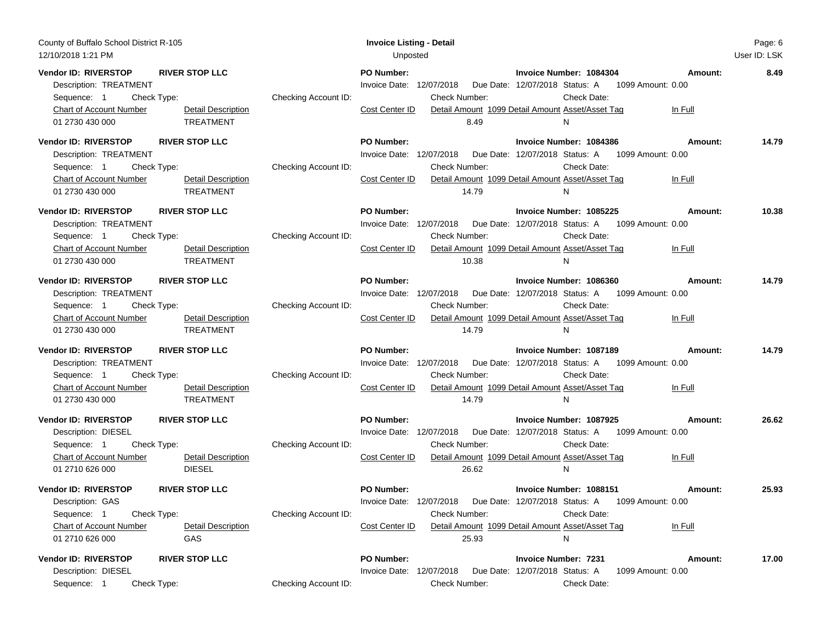| County of Buffalo School District R-105<br>12/10/2018 1:21 PM                                                                      |                                                                                             | <b>Invoice Listing - Detail</b><br>Unposted                                                      |                                                                                                                                                                                  |                    | Page: 6<br>User ID: LSK |
|------------------------------------------------------------------------------------------------------------------------------------|---------------------------------------------------------------------------------------------|--------------------------------------------------------------------------------------------------|----------------------------------------------------------------------------------------------------------------------------------------------------------------------------------|--------------------|-------------------------|
| Vendor ID: RIVERSTOP<br>Description: TREATMENT<br>Check Type:<br>Sequence: 1<br><b>Chart of Account Number</b><br>01 2730 430 000  | <b>RIVER STOP LLC</b><br>Checking Account ID:<br><b>Detail Description</b><br>TREATMENT     | <b>PO Number:</b><br>Invoice Date: 12/07/2018<br>Check Number:<br>Cost Center ID<br>8.49         | Invoice Number: 1084304<br>Due Date: 12/07/2018 Status: A 1099 Amount: 0.00<br>Check Date:<br>Detail Amount 1099 Detail Amount Asset/Asset Tag<br>N                              | Amount:<br>In Full | 8.49                    |
| <b>Vendor ID: RIVERSTOP</b><br>Description: TREATMENT<br>Sequence: 1<br>Check Type:<br>Chart of Account Number<br>01 2730 430 000  | <b>RIVER STOP LLC</b><br>Checking Account ID:<br>Detail Description<br>TREATMENT            | <b>PO Number:</b><br>Invoice Date: 12/07/2018<br><b>Check Number:</b><br>Cost Center ID<br>14.79 | Invoice Number: 1084386<br>Due Date: 12/07/2018 Status: A<br>1099 Amount: 0.00<br>Check Date:<br>Detail Amount 1099 Detail Amount Asset/Asset Tag<br>N                           | Amount:<br>In Full | 14.79                   |
| <b>Vendor ID: RIVERSTOP</b><br>Description: TREATMENT<br>Check Type:<br>Sequence: 1<br>Chart of Account Number<br>01 2730 430 000  | <b>RIVER STOP LLC</b><br>Checking Account ID:<br><b>Detail Description</b><br>TREATMENT     | <b>PO Number:</b><br>Invoice Date: 12/07/2018<br><b>Check Number:</b><br>Cost Center ID<br>10.38 | Invoice Number: 1085225<br>Due Date: 12/07/2018 Status: A 1099 Amount: 0.00<br>Check Date:<br>Detail Amount 1099 Detail Amount Asset/Asset Tag<br>N.                             | Amount:<br>In Full | 10.38                   |
| Vendor ID: RIVERSTOP<br>Description: TREATMENT<br>Sequence: 1<br>Check Type:<br><b>Chart of Account Number</b><br>01 2730 430 000  | <b>RIVER STOP LLC</b><br>Checking Account ID:<br>Detail Description<br>TREATMENT            | <b>PO Number:</b><br>Invoice Date: 12/07/2018<br><b>Check Number:</b><br>Cost Center ID<br>14.79 | Invoice Number: 1086360<br>Due Date: 12/07/2018 Status: A<br>1099 Amount: 0.00<br>Check Date:<br>Detail Amount 1099 Detail Amount Asset/Asset Tag<br>N                           | Amount:<br>In Full | 14.79                   |
| Vendor ID: RIVERSTOP<br>Description: TREATMENT<br>Sequence: 1<br>Check Type:<br><b>Chart of Account Number</b><br>01 2730 430 000  | <b>RIVER STOP LLC</b><br>Checking Account ID:<br><b>Detail Description</b><br>TREATMENT     | <b>PO Number:</b><br>Invoice Date: 12/07/2018<br><b>Check Number:</b><br>Cost Center ID<br>14.79 | Invoice Number: 1087189<br>Due Date: 12/07/2018 Status: A 1099 Amount: 0.00<br>Check Date:<br>Detail Amount 1099 Detail Amount Asset/Asset Tag<br>N                              | Amount:<br>In Full | 14.79                   |
| <b>Vendor ID: RIVERSTOP</b><br>Description: DIESEL<br>Sequence: 1<br>Check Type:<br>Chart of Account Number<br>01 2710 626 000     | <b>RIVER STOP LLC</b><br>Checking Account ID:<br><b>Detail Description</b><br><b>DIESEL</b> | <b>PO Number:</b><br>Invoice Date: 12/07/2018<br><b>Check Number:</b><br>Cost Center ID<br>26.62 | Invoice Number: 1087925<br>Due Date: 12/07/2018 Status: A 1099 Amount: 0.00<br>Check Date:<br>Detail Amount 1099 Detail Amount Asset/Asset Tag<br>N.                             | Amount:<br>In Full | 26.62                   |
| <b>Vendor ID: RIVERSTOP</b><br>Description: GAS<br>Sequence: 1<br>Check Type:<br><b>Chart of Account Number</b><br>01 2710 626 000 | <b>RIVER STOP LLC</b><br>Checking Account ID:<br><b>Detail Description</b><br>GAS           | <b>PO Number:</b><br>Check Number:<br>Cost Center ID<br>25.93                                    | Invoice Number: 1088151<br>Invoice Date: 12/07/2018  Due Date: 12/07/2018  Status: A  1099  Amount: 0.00<br>Check Date:<br>Detail Amount 1099 Detail Amount Asset/Asset Tag<br>N | Amount:<br>In Full | 25.93                   |
| Vendor ID: RIVERSTOP<br>Description: DIESEL<br>Sequence: 1<br>Check Type:                                                          | <b>RIVER STOP LLC</b><br>Checking Account ID:                                               | PO Number:<br>Invoice Date: 12/07/2018<br>Check Number:                                          | <b>Invoice Number: 7231</b><br>Due Date: 12/07/2018 Status: A<br>1099 Amount: 0.00<br>Check Date:                                                                                | Amount:            | 17.00                   |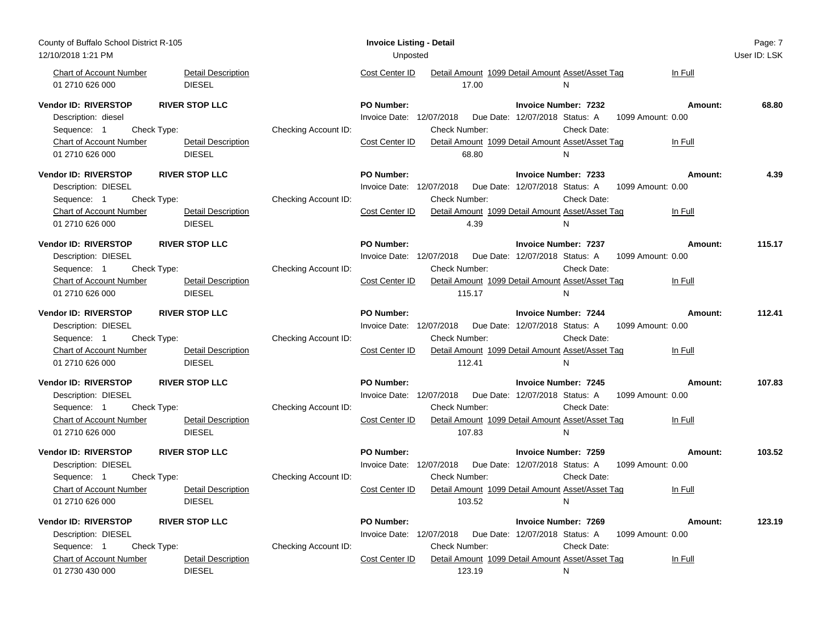| County of Buffalo School District R-105<br>12/10/2018 1:21 PM                                                                                                                                                |                      | <b>Invoice Listing - Detail</b><br>Unposted                                                                                                                                                                                                                                           | Page: 7<br>User ID: LSK |
|--------------------------------------------------------------------------------------------------------------------------------------------------------------------------------------------------------------|----------------------|---------------------------------------------------------------------------------------------------------------------------------------------------------------------------------------------------------------------------------------------------------------------------------------|-------------------------|
| Chart of Account Number<br><b>Detail Description</b><br>01 2710 626 000<br><b>DIESEL</b>                                                                                                                     |                      | Cost Center ID<br>Detail Amount 1099 Detail Amount Asset/Asset Tag<br>In Full<br>17.00<br>$\mathsf{N}$                                                                                                                                                                                |                         |
| <b>Vendor ID: RIVERSTOP</b><br><b>RIVER STOP LLC</b><br>Description: diesel<br>Sequence: 1<br>Check Type:<br>Chart of Account Number<br><b>Detail Description</b>                                            | Checking Account ID: | <b>PO Number:</b><br><b>Invoice Number: 7232</b><br>Amount:<br>Invoice Date: 12/07/2018<br>Due Date: 12/07/2018 Status: A<br>1099 Amount: 0.00<br>Check Number:<br>Check Date:<br>Detail Amount 1099 Detail Amount Asset/Asset Tag<br>Cost Center ID<br>In Full                       | 68.80                   |
| <b>DIESEL</b><br>01 2710 626 000<br>Vendor ID: RIVERSTOP<br><b>RIVER STOP LLC</b><br>Description: DIESEL                                                                                                     |                      | 68.80<br>N<br><b>PO Number:</b><br><b>Invoice Number: 7233</b><br>Amount:<br>Invoice Date: 12/07/2018  Due Date: 12/07/2018  Status: A<br>1099 Amount: 0.00                                                                                                                           | 4.39                    |
| Check Type:<br>Sequence: 1<br>Chart of Account Number<br><b>Detail Description</b><br>01 2710 626 000<br><b>DIESEL</b>                                                                                       | Checking Account ID: | <b>Check Number:</b><br>Check Date:<br>Detail Amount 1099 Detail Amount Asset/Asset Tag<br>Cost Center ID<br>In Full<br>4.39<br>N                                                                                                                                                     |                         |
| <b>Vendor ID: RIVERSTOP</b><br><b>RIVER STOP LLC</b><br>Description: DIESEL<br>Sequence: 1<br>Check Type:<br><b>Chart of Account Number</b><br><b>Detail Description</b><br><b>DIESEL</b><br>01 2710 626 000 | Checking Account ID: | <b>PO Number:</b><br><b>Invoice Number: 7237</b><br>Amount:<br>Invoice Date: 12/07/2018<br>Due Date: 12/07/2018 Status: A<br>1099 Amount: 0.00<br><b>Check Number:</b><br>Check Date:<br>Cost Center ID<br>Detail Amount 1099 Detail Amount Asset/Asset Tag<br>In Full<br>115.17<br>N | 115.17                  |
| <b>Vendor ID: RIVERSTOP</b><br><b>RIVER STOP LLC</b><br>Description: DIESEL<br>Sequence: 1<br>Check Type:<br>Chart of Account Number<br>Detail Description<br>01 2710 626 000<br><b>DIESEL</b>               | Checking Account ID: | <b>PO Number:</b><br><b>Invoice Number: 7244</b><br>Amount:<br>Invoice Date: 12/07/2018<br>Due Date: 12/07/2018 Status: A<br>1099 Amount: 0.00<br>Check Date:<br><b>Check Number:</b><br>Cost Center ID<br>Detail Amount 1099 Detail Amount Asset/Asset Tag<br>In Full<br>112.41<br>N | 112.41                  |
| <b>Vendor ID: RIVERSTOP</b><br><b>RIVER STOP LLC</b><br>Description: DIESEL<br>Sequence: 1<br>Check Type:<br><b>Chart of Account Number</b><br><b>Detail Description</b><br>01 2710 626 000<br><b>DIESEL</b> | Checking Account ID: | <b>PO Number:</b><br><b>Invoice Number: 7245</b><br>Amount:<br>Invoice Date: 12/07/2018<br>Due Date: 12/07/2018 Status: A<br>1099 Amount: 0.00<br><b>Check Number:</b><br>Check Date:<br>Cost Center ID<br>Detail Amount 1099 Detail Amount Asset/Asset Tag<br>In Full<br>107.83<br>N | 107.83                  |
| <b>RIVER STOP LLC</b><br>Vendor ID: RIVERSTOP<br>Description: DIESEL<br>Sequence: 1<br>Check Type:<br>Chart of Account Number<br><b>Detail Description</b><br><b>DIESEL</b><br>01 2710 626 000               | Checking Account ID: | PO Number:<br><b>Invoice Number: 7259</b><br>Amount:<br>Invoice Date: 12/07/2018<br>Due Date: 12/07/2018 Status: A<br>1099 Amount: 0.00<br>Check Date:<br>Check Number:<br>Cost Center ID<br>Detail Amount 1099 Detail Amount Asset/Asset Tag<br>In Full<br>103.52<br>N               | 103.52                  |
| Vendor ID: RIVERSTOP<br><b>RIVER STOP LLC</b><br>Description: DIESEL<br>Sequence: 1<br>Check Type:<br><b>Chart of Account Number</b><br><b>Detail Description</b><br><b>DIESEL</b><br>01 2730 430 000        | Checking Account ID: | <b>PO Number:</b><br><b>Invoice Number: 7269</b><br>Amount:<br>Invoice Date: 12/07/2018  Due Date: 12/07/2018  Status: A<br>1099 Amount: 0.00<br>Check Date:<br>Check Number:<br>Detail Amount 1099 Detail Amount Asset/Asset Tag<br>Cost Center ID<br>In Full<br>123.19<br>N         | 123.19                  |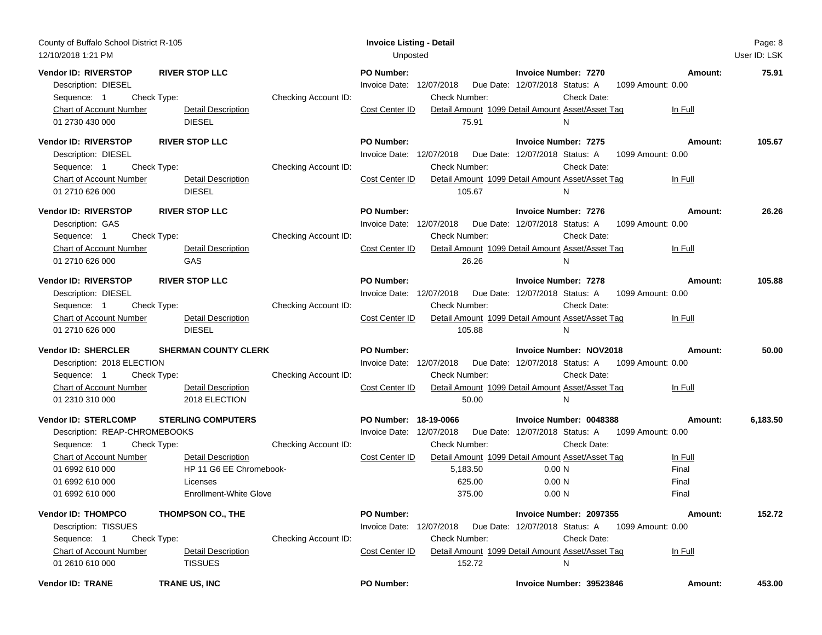| County of Buffalo School District R-105<br>12/10/2018 1:21 PM                                                                                                                                                           |                                                                                                                                     | <b>Invoice Listing - Detail</b><br>Unposted                                   |                                                                                                                                                                          |                                                                                              |                                               | Page: 8<br>User ID: LSK |
|-------------------------------------------------------------------------------------------------------------------------------------------------------------------------------------------------------------------------|-------------------------------------------------------------------------------------------------------------------------------------|-------------------------------------------------------------------------------|--------------------------------------------------------------------------------------------------------------------------------------------------------------------------|----------------------------------------------------------------------------------------------|-----------------------------------------------|-------------------------|
| Vendor ID: RIVERSTOP<br><b>RIVER STOP LLC</b><br>Description: DIESEL<br>Check Type:<br>Sequence: 1<br><b>Chart of Account Number</b><br><b>DIESEL</b><br>01 2730 430 000                                                | Checking Account ID:<br><b>Detail Description</b>                                                                                   | <b>PO Number:</b><br>Invoice Date: 12/07/2018<br>Cost Center ID               | Due Date: 12/07/2018 Status: A<br>Check Number:<br>Detail Amount 1099 Detail Amount Asset/Asset Tag<br>75.91                                                             | <b>Invoice Number: 7270</b><br>1099 Amount: 0.00<br>Check Date:<br>N                         | Amount:<br>In Full                            | 75.91                   |
| Vendor ID: RIVERSTOP<br><b>RIVER STOP LLC</b><br>Description: DIESEL<br>Check Type:<br>Sequence: 1<br>Chart of Account Number<br><b>DIESEL</b><br>01 2710 626 000                                                       | Checking Account ID:<br>Detail Description                                                                                          | PO Number:<br>Invoice Date: 12/07/2018<br>Cost Center ID                      | Due Date: 12/07/2018 Status: A<br>Check Number:<br>Detail Amount 1099 Detail Amount Asset/Asset Tag<br>105.67                                                            | <b>Invoice Number: 7275</b><br>1099 Amount: 0.00<br>Check Date:<br>N                         | Amount:<br>In Full                            | 105.67                  |
| <b>Vendor ID: RIVERSTOP</b><br><b>RIVER STOP LLC</b><br>Description: GAS<br>Check Type:<br>Sequence: 1<br>Chart of Account Number<br>01 2710 626 000<br>GAS                                                             | Checking Account ID:<br>Detail Description                                                                                          | <b>PO Number:</b><br>Invoice Date: 12/07/2018<br>Cost Center ID               | Due Date: 12/07/2018 Status: A<br><b>Check Number:</b><br>Detail Amount 1099 Detail Amount Asset/Asset Tag<br>26.26                                                      | <b>Invoice Number: 7276</b><br>1099 Amount: 0.00<br>Check Date:<br>N.                        | Amount:<br>In Full                            | 26.26                   |
| Vendor ID: RIVERSTOP<br><b>RIVER STOP LLC</b><br>Description: DIESEL<br>Sequence: 1<br>Check Type:<br><b>Chart of Account Number</b><br>01 2710 626 000<br><b>DIESEL</b>                                                | Checking Account ID:<br><b>Detail Description</b>                                                                                   | <b>PO Number:</b><br>Invoice Date: 12/07/2018<br>Cost Center ID               | Due Date: 12/07/2018 Status: A<br>Check Number:<br>Detail Amount 1099 Detail Amount Asset/Asset Tag<br>105.88                                                            | <b>Invoice Number: 7278</b><br>1099 Amount: 0.00<br>Check Date:<br>N                         | Amount:<br>In Full                            | 105.88                  |
| Vendor ID: SHERCLER<br>Description: 2018 ELECTION<br>Sequence: 1<br>Check Type:<br><b>Chart of Account Number</b><br>01 2310 310 000                                                                                    | <b>SHERMAN COUNTY CLERK</b><br>Checking Account ID:<br><b>Detail Description</b><br>2018 ELECTION                                   | PO Number:<br>Invoice Date: 12/07/2018<br>Cost Center ID                      | Due Date: 12/07/2018 Status: A<br><b>Check Number:</b><br>Detail Amount 1099 Detail Amount Asset/Asset Tag<br>50.00                                                      | <b>Invoice Number: NOV2018</b><br>1099 Amount: 0.00<br>Check Date:<br>N                      | Amount:<br>In Full                            | 50.00                   |
| Vendor ID: STERLCOMP<br>Description: REAP-CHROMEBOOKS<br>Sequence: 1<br>Check Type:<br>Chart of Account Number<br>01 6992 610 000<br>01 6992 610 000<br>Licenses<br>01 6992 610 000                                     | <b>STERLING COMPUTERS</b><br>Checking Account ID:<br><b>Detail Description</b><br>HP 11 G6 EE Chromebook-<br>Enrollment-White Glove | PO Number: 18-19-0066<br>Invoice Date: 12/07/2018<br>Cost Center ID           | Due Date: 12/07/2018 Status: A<br><b>Check Number:</b><br>Detail Amount 1099 Detail Amount Asset/Asset Tag<br>5,183.50<br>0.00 N<br>625.00<br>0.00 N<br>375.00<br>0.00 N | Invoice Number: 0048388<br>1099 Amount: 0.00<br>Check Date:                                  | Amount:<br>In Full<br>Final<br>Final<br>Final | 6,183.50                |
| Vendor ID: THOMPCO<br><b>THOMPSON CO., THE</b><br>Description: TISSUES<br>Check Type:<br>Sequence: 1<br><b>Chart of Account Number</b><br><b>TISSUES</b><br>01 2610 610 000<br><b>Vendor ID: TRANE</b><br>TRANE US, INC | Checking Account ID:<br><b>Detail Description</b>                                                                                   | <b>PO Number:</b><br>Invoice Date: 12/07/2018<br>Cost Center ID<br>PO Number: | Due Date: 12/07/2018 Status: A<br><b>Check Number:</b><br>Detail Amount 1099 Detail Amount Asset/Asset Tag<br>152.72                                                     | Invoice Number: 2097355<br>1099 Amount: 0.00<br>Check Date:<br>N<br>Invoice Number: 39523846 | Amount:<br>In Full<br>Amount:                 | 152.72<br>453.00        |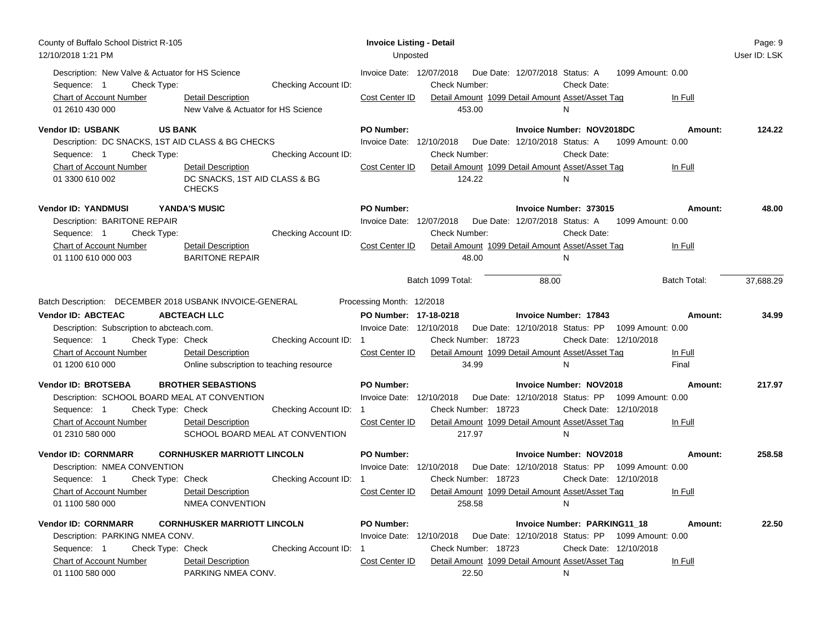| County of Buffalo School District R-105<br><b>Invoice Listing - Detail</b><br>12/10/2018 1:21 PM<br>Unposted                                                                                                                                                                                                                                                                                                                                                                                                                                                                                                                                                                              | Page: 9<br>User ID: LSK |
|-------------------------------------------------------------------------------------------------------------------------------------------------------------------------------------------------------------------------------------------------------------------------------------------------------------------------------------------------------------------------------------------------------------------------------------------------------------------------------------------------------------------------------------------------------------------------------------------------------------------------------------------------------------------------------------------|-------------------------|
| Description: New Valve & Actuator for HS Science<br>Invoice Date: 12/07/2018<br>Due Date: 12/07/2018 Status: A<br>1099 Amount: 0.00<br>Checking Account ID:<br>Sequence: 1<br>Check Type:<br><b>Check Number:</b><br>Check Date:<br>Cost Center ID<br>Detail Amount 1099 Detail Amount Asset/Asset Tag<br>Chart of Account Number<br>Detail Description<br>In Full<br>01 2610 430 000<br>New Valve & Actuator for HS Science<br>453.00<br>N                                                                                                                                                                                                                                               |                         |
| <b>Vendor ID: USBANK</b><br><b>US BANK</b><br><b>PO Number:</b><br>Invoice Number: NOV2018DC<br>Amount:<br>Description: DC SNACKS, 1ST AID CLASS & BG CHECKS<br>Invoice Date: 12/10/2018<br>Due Date: 12/10/2018 Status: A<br>1099 Amount: 0.00<br><b>Check Number:</b><br>Check Date:<br>Sequence: 1<br>Check Type:<br>Checking Account ID:<br>Chart of Account Number<br>Detail Amount 1099 Detail Amount Asset/Asset Tag<br>Cost Center ID<br>In Full<br>Detail Description                                                                                                                                                                                                            | 124.22                  |
| DC SNACKS, 1ST AID CLASS & BG<br>124.22<br>01 3300 610 002<br>N<br><b>CHECKS</b>                                                                                                                                                                                                                                                                                                                                                                                                                                                                                                                                                                                                          |                         |
| <b>Vendor ID: YANDMUSI</b><br>YANDA'S MUSIC<br><b>PO Number:</b><br>Invoice Number: 373015<br>Amount:<br>Description: BARITONE REPAIR<br>Invoice Date: 12/07/2018<br>Due Date: 12/07/2018 Status: A 1099 Amount: 0.00<br>Check Type:<br>Checking Account ID:<br>Check Number:<br>Check Date:<br>Sequence: 1<br>Chart of Account Number<br>Cost Center ID<br>Detail Amount 1099 Detail Amount Asset/Asset Tag<br>Detail Description<br>In Full<br><b>BARITONE REPAIR</b><br>01 1100 610 000 003<br>48.00<br>N                                                                                                                                                                              | 48.00                   |
| Batch 1099 Total:<br>88.00<br>Batch Total:                                                                                                                                                                                                                                                                                                                                                                                                                                                                                                                                                                                                                                                | 37,688.29               |
| Batch Description: DECEMBER 2018 USBANK INVOICE-GENERAL<br>Processing Month: 12/2018<br><b>Vendor ID: ABCTEAC</b><br><b>ABCTEACH LLC</b><br>PO Number: 17-18-0218<br><b>Invoice Number: 17843</b><br>Amount:<br>Invoice Date: 12/10/2018<br>Due Date: 12/10/2018 Status: PP 1099 Amount: 0.00<br>Description: Subscription to abcteach.com.<br>Check Type: Check<br>Check Number: 18723<br>Check Date: 12/10/2018<br>Sequence: 1<br>Checking Account ID: 1<br>Chart of Account Number<br>Detail Amount 1099 Detail Amount Asset/Asset Tag<br><b>Detail Description</b><br>Cost Center ID<br>In Full<br>34.99<br>01 1200 610 000<br>Online subscription to teaching resource<br>N<br>Final | 34.99                   |
| <b>Vendor ID: BROTSEBA</b><br><b>BROTHER SEBASTIONS</b><br><b>PO Number:</b><br><b>Invoice Number: NOV2018</b><br>Amount:<br>Description: SCHOOL BOARD MEAL AT CONVENTION<br>Invoice Date: 12/10/2018<br>Due Date: 12/10/2018 Status: PP 1099 Amount: 0.00<br>Sequence: 1<br>Check Type: Check<br>Checking Account ID: 1<br>Check Number: 18723<br>Check Date: 12/10/2018<br>Chart of Account Number<br><b>Detail Description</b><br>Cost Center ID<br>Detail Amount 1099 Detail Amount Asset/Asset Tag<br>In Full<br>SCHOOL BOARD MEAL AT CONVENTION<br>01 2310 580 000<br>217.97<br>N                                                                                                   | 217.97                  |
| <b>Vendor ID: CORNMARR</b><br><b>CORNHUSKER MARRIOTT LINCOLN</b><br><b>PO Number:</b><br><b>Invoice Number: NOV2018</b><br>Amount:<br>Due Date: 12/10/2018 Status: PP 1099 Amount: 0.00<br>Description: NMEA CONVENTION<br>Invoice Date: 12/10/2018<br>Check Type: Check<br>Checking Account ID: 1<br>Check Number: 18723<br>Check Date: 12/10/2018<br>Sequence: 1<br>Detail Amount 1099 Detail Amount Asset/Asset Tag<br><b>Chart of Account Number</b><br>Detail Description<br>Cost Center ID<br>In Full                                                                                                                                                                               | 258.58                  |
| 01 1100 580 000<br>NMEA CONVENTION<br>258.58<br>N<br><b>Vendor ID: CORNMARR</b><br><b>CORNHUSKER MARRIOTT LINCOLN</b><br><b>PO Number:</b><br>Invoice Number: PARKING11_18<br>Amount:                                                                                                                                                                                                                                                                                                                                                                                                                                                                                                     | 22.50                   |
| Description: PARKING NMEA CONV.<br>Invoice Date: 12/10/2018<br>Due Date: 12/10/2018 Status: PP 1099 Amount: 0.00<br>Sequence: 1<br>Check Type: Check<br>Check Number: 18723<br>Check Date: 12/10/2018<br>Checking Account ID:<br><b>Chart of Account Number</b><br>Cost Center ID<br>Detail Amount 1099 Detail Amount Asset/Asset Tag<br><b>Detail Description</b><br>In Full<br>01 1100 580 000<br>PARKING NMEA CONV.<br>22.50<br>N                                                                                                                                                                                                                                                      |                         |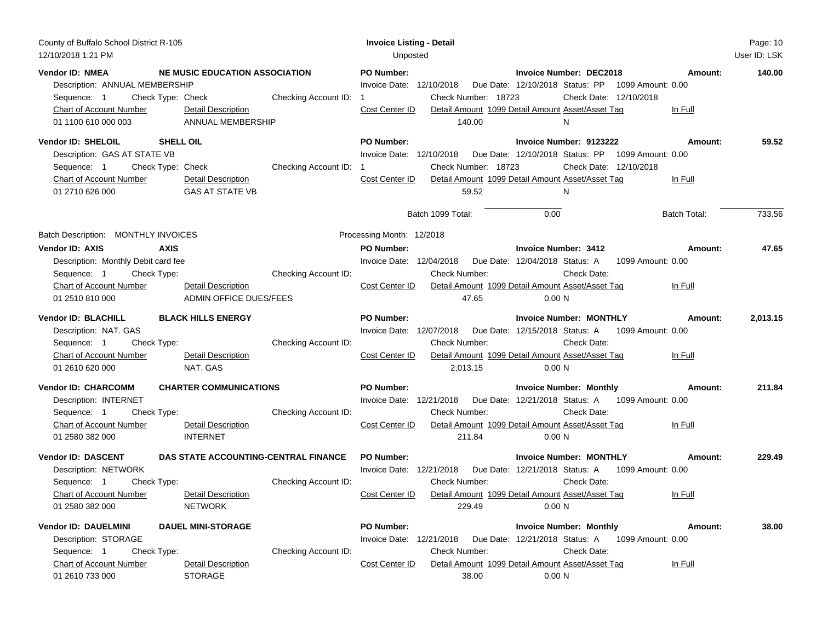| County of Buffalo School District R-105<br>12/10/2018 1:21 PM                                                                                                   |                                                                                                             | <b>Invoice Listing - Detail</b><br>Unposted                                                                                                                                                                                                                                                                                              | Page: 10<br>User ID: LSK |
|-----------------------------------------------------------------------------------------------------------------------------------------------------------------|-------------------------------------------------------------------------------------------------------------|------------------------------------------------------------------------------------------------------------------------------------------------------------------------------------------------------------------------------------------------------------------------------------------------------------------------------------------|--------------------------|
| <b>Vendor ID: NMEA</b><br>Description: ANNUAL MEMBERSHIP<br>Sequence: 1<br>Check Type: Check<br><b>Chart of Account Number</b><br>01 1100 610 000 003           | NE MUSIC EDUCATION ASSOCIATION<br>Checking Account ID: 1<br>Detail Description<br>ANNUAL MEMBERSHIP         | <b>PO Number:</b><br>Invoice Number: DEC2018<br>Amount:<br>Due Date: 12/10/2018 Status: PP 1099 Amount: 0.00<br>Invoice Date: 12/10/2018<br>Check Number: 18723<br>Check Date: 12/10/2018<br>Detail Amount 1099 Detail Amount Asset/Asset Tag<br>Cost Center ID<br>In Full<br>140.00<br>N                                                | 140.00                   |
| <b>Vendor ID: SHELOIL</b><br><b>SHELL OIL</b><br>Description: GAS AT STATE VB<br>Sequence: 1<br>Check Type: Check<br>Chart of Account Number<br>01 2710 626 000 | Checking Account ID:<br><b>Detail Description</b><br><b>GAS AT STATE VB</b>                                 | PO Number:<br>Invoice Number: 9123222<br>Amount:<br>Due Date: 12/10/2018 Status: PP<br>Invoice Date: 12/10/2018<br>1099 Amount: 0.00<br>Check Number: 18723<br>Check Date: 12/10/2018<br>Cost Center ID<br>Detail Amount 1099 Detail Amount Asset/Asset Tag<br>In Full<br>59.52<br>N<br>Batch 1099 Total:<br>0.00<br><b>Batch Total:</b> | 59.52<br>733.56          |
| Batch Description: MONTHLY INVOICES                                                                                                                             |                                                                                                             | Processing Month: 12/2018                                                                                                                                                                                                                                                                                                                |                          |
| <b>Vendor ID: AXIS</b><br><b>AXIS</b><br>Description: Monthly Debit card fee<br>Check Type:<br>Sequence: 1<br>Chart of Account Number<br>01 2510 810 000        | Checking Account ID:<br>Detail Description<br>ADMIN OFFICE DUES/FEES                                        | <b>PO Number:</b><br><b>Invoice Number: 3412</b><br>Amount:<br>Invoice Date: 12/04/2018<br>Due Date: 12/04/2018 Status: A<br>1099 Amount: 0.00<br><b>Check Number:</b><br>Check Date:<br>Cost Center ID<br>Detail Amount 1099 Detail Amount Asset/Asset Tag<br>In Full<br>47.65<br>0.00 N                                                | 47.65                    |
| <b>Vendor ID: BLACHILL</b><br>Description: NAT. GAS<br>Sequence: 1<br>Check Type:<br><b>Chart of Account Number</b><br>01 2610 620 000                          | <b>BLACK HILLS ENERGY</b><br>Checking Account ID:<br>Detail Description<br>NAT. GAS                         | <b>PO Number:</b><br><b>Invoice Number: MONTHLY</b><br>Amount:<br>Invoice Date: 12/07/2018<br>Due Date: 12/15/2018 Status: A<br>1099 Amount: 0.00<br>Check Date:<br><b>Check Number:</b><br>Detail Amount 1099 Detail Amount Asset/Asset Tag<br>Cost Center ID<br>In Full<br>2,013.15<br>0.00 N                                          | 2,013.15                 |
| <b>Vendor ID: CHARCOMM</b><br>Description: INTERNET<br>Sequence: 1<br>Check Type:<br>Chart of Account Number<br>01 2580 382 000                                 | <b>CHARTER COMMUNICATIONS</b><br>Checking Account ID:<br><b>Detail Description</b><br><b>INTERNET</b>       | <b>PO Number:</b><br><b>Invoice Number: Monthly</b><br>Amount:<br>Invoice Date: 12/21/2018<br>Due Date: 12/21/2018 Status: A 1099 Amount: 0.00<br><b>Check Number:</b><br>Check Date:<br>Detail Amount 1099 Detail Amount Asset/Asset Tag<br>Cost Center ID<br>In Full<br>211.84<br>0.00 N                                               | 211.84                   |
| <b>Vendor ID: DASCENT</b><br>Description: NETWORK<br>Sequence: 1<br>Check Type:<br><b>Chart of Account Number</b><br>01 2580 382 000                            | DAS STATE ACCOUNTING-CENTRAL FINANCE<br>Checking Account ID:<br><b>Detail Description</b><br><b>NETWORK</b> | <b>PO Number:</b><br><b>Invoice Number: MONTHLY</b><br>Amount:<br>Invoice Date: 12/21/2018<br>Due Date: 12/21/2018 Status: A 1099 Amount: 0.00<br><b>Check Number:</b><br>Check Date:<br>Detail Amount 1099 Detail Amount Asset/Asset Tag<br>Cost Center ID<br>In Full<br>229.49<br>0.00 <sub>N</sub>                                    | 229.49                   |
| <b>Vendor ID: DAUELMINI</b><br>Description: STORAGE<br>Sequence: 1<br>Check Type:<br><b>Chart of Account Number</b><br>01 2610 733 000                          | <b>DAUEL MINI-STORAGE</b><br>Checking Account ID:<br><b>Detail Description</b><br><b>STORAGE</b>            | <b>PO Number:</b><br><b>Invoice Number: Monthly</b><br>Amount:<br>Invoice Date: 12/21/2018<br>Due Date: 12/21/2018 Status: A<br>1099 Amount: 0.00<br>Check Number:<br>Check Date:<br>Cost Center ID<br>Detail Amount 1099 Detail Amount Asset/Asset Tag<br>In Full<br>38.00<br>0.00 N                                                    | 38.00                    |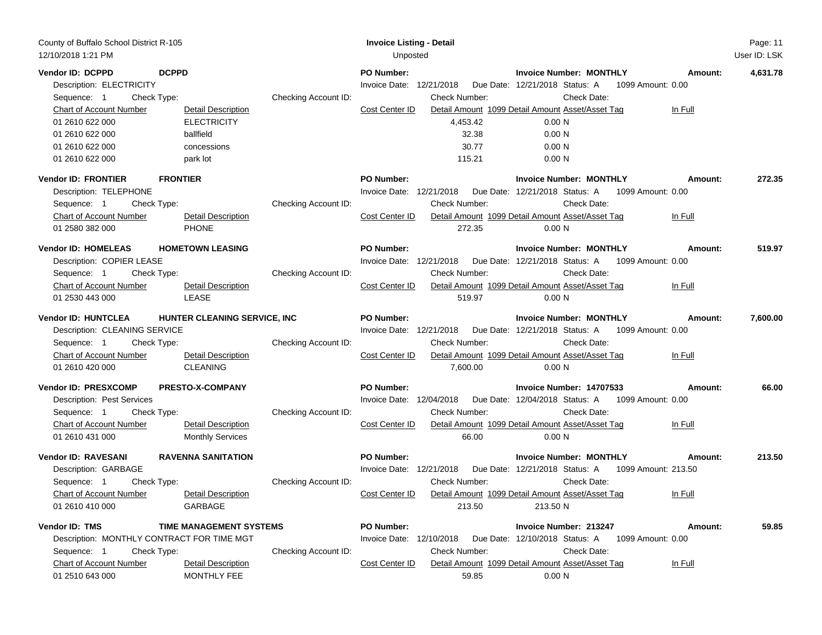| County of Buffalo School District R-105<br>12/10/2018 1:21 PM                                                                                                                                                                                                                                | <b>Invoice Listing - Detail</b><br>Unposted<br>User ID: LSK                                                                                                                                                                                                                                                                                                                       | Page: 11 |
|----------------------------------------------------------------------------------------------------------------------------------------------------------------------------------------------------------------------------------------------------------------------------------------------|-----------------------------------------------------------------------------------------------------------------------------------------------------------------------------------------------------------------------------------------------------------------------------------------------------------------------------------------------------------------------------------|----------|
| Vendor ID: DCPPD<br><b>DCPPD</b><br>Description: ELECTRICITY<br>Check Type:<br>Sequence: 1<br><b>Chart of Account Number</b><br>Detail Description<br><b>ELECTRICITY</b><br>01 2610 622 000<br>01 2610 622 000<br>ballfield<br>01 2610 622 000<br>concessions<br>01 2610 622 000<br>park lot | <b>Invoice Number: MONTHLY</b><br><b>PO Number:</b><br>Amount:<br>Invoice Date: 12/21/2018<br>Due Date: 12/21/2018 Status: A<br>1099 Amount: 0.00<br>Checking Account ID:<br>Check Date:<br><b>Check Number:</b><br>Cost Center ID<br>Detail Amount 1099 Detail Amount Asset/Asset Tag<br>In Full<br>4,453.42<br>0.00 N<br>32.38<br>0.00 N<br>30.77<br>0.00 N<br>115.21<br>0.00 N | 4,631.78 |
| <b>FRONTIER</b><br><b>Vendor ID: FRONTIER</b><br>Description: TELEPHONE<br>Sequence: 1<br>Check Type:<br><b>Chart of Account Number</b><br><b>Detail Description</b><br><b>PHONE</b><br>01 2580 382 000                                                                                      | <b>PO Number:</b><br><b>Invoice Number: MONTHLY</b><br>Amount:<br>Invoice Date: 12/21/2018<br>Due Date: 12/21/2018 Status: A<br>1099 Amount: 0.00<br>Checking Account ID:<br><b>Check Number:</b><br>Check Date:<br>Detail Amount 1099 Detail Amount Asset/Asset Tag<br>Cost Center ID<br>In Full<br>272.35<br>0.00 N                                                             | 272.35   |
| <b>Vendor ID: HOMELEAS</b><br><b>HOMETOWN LEASING</b><br>Description: COPIER LEASE<br>Sequence: 1<br>Check Type:<br>Chart of Account Number<br><b>Detail Description</b><br>LEASE<br>01 2530 443 000                                                                                         | <b>PO Number:</b><br><b>Invoice Number: MONTHLY</b><br>Amount:<br>Invoice Date: 12/21/2018<br>Due Date: 12/21/2018 Status: A<br>1099 Amount: 0.00<br>Checking Account ID:<br><b>Check Number:</b><br>Check Date:<br>Detail Amount 1099 Detail Amount Asset/Asset Tag<br>Cost Center ID<br>In Full<br>519.97<br>0.00 N                                                             | 519.97   |
| <b>Vendor ID: HUNTCLEA</b><br>HUNTER CLEANING SERVICE, INC<br>Description: CLEANING SERVICE<br>Check Type:<br>Sequence: 1<br>Chart of Account Number<br>Detail Description<br><b>CLEANING</b><br>01 2610 420 000                                                                             | <b>PO Number:</b><br><b>Invoice Number: MONTHLY</b><br>Amount:<br>Invoice Date: 12/21/2018<br>Due Date: 12/21/2018 Status: A<br>1099 Amount: 0.00<br>Checking Account ID:<br><b>Check Number:</b><br>Check Date:<br>Detail Amount 1099 Detail Amount Asset/Asset Tag<br>Cost Center ID<br>In Full<br>7,600.00<br>0.00 N                                                           | 7,600.00 |
| <b>Vendor ID: PRESXCOMP</b><br><b>PRESTO-X-COMPANY</b><br>Description: Pest Services<br>Sequence: 1<br>Check Type:<br><b>Chart of Account Number</b><br><b>Detail Description</b><br>01 2610 431 000<br><b>Monthly Services</b>                                                              | PO Number:<br>Invoice Number: 14707533<br>Amount:<br>Invoice Date: 12/04/2018  Due Date: 12/04/2018  Status: A  1099  Amount: 0.00<br>Checking Account ID:<br><b>Check Number:</b><br>Check Date:<br>Cost Center ID<br>Detail Amount 1099 Detail Amount Asset/Asset Tag<br>In Full<br>66.00<br>0.00 N                                                                             | 66.00    |
| <b>RAVENNA SANITATION</b><br><b>Vendor ID: RAVESANI</b><br>Description: GARBAGE<br>Sequence: 1<br>Check Type:<br><b>Chart of Account Number</b><br><b>Detail Description</b><br>GARBAGE<br>01 2610 410 000                                                                                   | <b>PO Number:</b><br><b>Invoice Number: MONTHLY</b><br>Amount:<br>Invoice Date: 12/21/2018<br>Due Date: 12/21/2018 Status: A 1099 Amount: 213.50<br>Checking Account ID:<br>Check Date:<br><b>Check Number:</b><br>Cost Center ID<br>Detail Amount 1099 Detail Amount Asset/Asset Tag<br>In Full<br>213.50<br>213.50 N                                                            | 213.50   |
| Vendor ID: TMS<br>TIME MANAGEMENT SYSTEMS<br>Description: MONTHLY CONTRACT FOR TIME MGT<br>Sequence: 1<br>Check Type:<br><b>Chart of Account Number</b><br><b>Detail Description</b><br>01 2510 643 000<br>MONTHLY FEE                                                                       | <b>PO Number:</b><br>Invoice Number: 213247<br>Amount:<br>Invoice Date: 12/10/2018<br>Due Date: 12/10/2018 Status: A<br>1099 Amount: 0.00<br>Checking Account ID:<br>Check Number:<br>Check Date:<br>Cost Center ID<br>Detail Amount 1099 Detail Amount Asset/Asset Tag<br>In Full<br>59.85<br>0.00 N                                                                             | 59.85    |